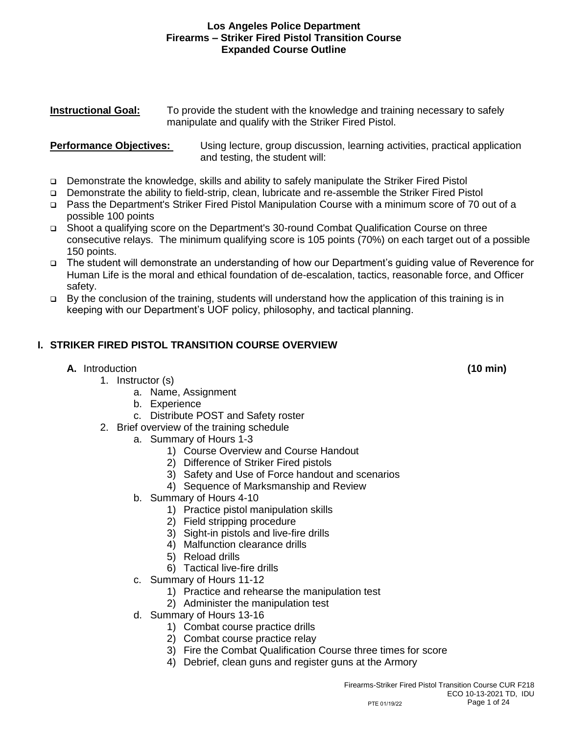#### **Instructional Goal:** To provide the student with the knowledge and training necessary to safely manipulate and qualify with the Striker Fired Pistol.

#### **Performance Objectives:** Using lecture, group discussion, learning activities, practical application and testing, the student will:

- ❑ Demonstrate the knowledge, skills and ability to safely manipulate the Striker Fired Pistol
- ❑ Demonstrate the ability to field-strip, clean, lubricate and re-assemble the Striker Fired Pistol
- ❑ Pass the Department's Striker Fired Pistol Manipulation Course with a minimum score of 70 out of a possible 100 points
- ❑ Shoot a qualifying score on the Department's 30-round Combat Qualification Course on three consecutive relays. The minimum qualifying score is 105 points (70%) on each target out of a possible 150 points.
- ❑ The student will demonstrate an understanding of how our Department's guiding value of Reverence for Human Life is the moral and ethical foundation of de-escalation, tactics, reasonable force, and Officer safety.
- ❑ By the conclusion of the training, students will understand how the application of this training is in keeping with our Department's UOF policy, philosophy, and tactical planning.

# **I. STRIKER FIRED PISTOL TRANSITION COURSE OVERVIEW**

# **A.** Introduction **(10 min)**

- 1. Instructor (s)
	- a. Name, Assignment
	- b. Experience
	- c. Distribute POST and Safety roster
- 2. Brief overview of the training schedule
	- a. Summary of Hours 1-3
		- 1) Course Overview and Course Handout
		- 2) Difference of Striker Fired pistols
		- 3) Safety and Use of Force handout and scenarios
		- 4) Sequence of Marksmanship and Review
	- b. Summary of Hours 4-10
		- 1) Practice pistol manipulation skills
		- 2) Field stripping procedure
		- 3) Sight-in pistols and live-fire drills
		- 4) Malfunction clearance drills
		- 5) Reload drills
		- 6) Tactical live-fire drills
	- c. Summary of Hours 11-12
		- 1) Practice and rehearse the manipulation test
		- 2) Administer the manipulation test
	- d. Summary of Hours 13-16
		- 1) Combat course practice drills
		- 2) Combat course practice relay
		- 3) Fire the Combat Qualification Course three times for score
		- 4) Debrief, clean guns and register guns at the Armory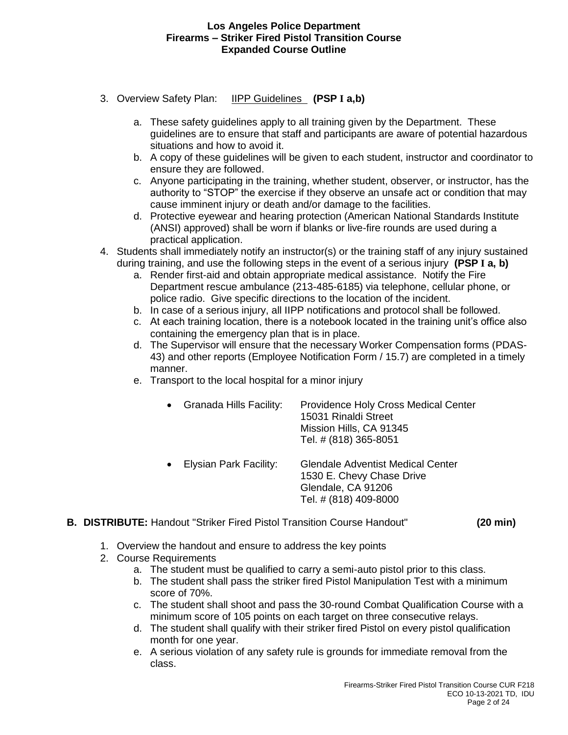- 3. Overview Safety Plan: IIPP Guidelines **(PSP I a,b)**
	- a. These safety guidelines apply to all training given by the Department. These guidelines are to ensure that staff and participants are aware of potential hazardous situations and how to avoid it.
	- b. A copy of these guidelines will be given to each student, instructor and coordinator to ensure they are followed.
	- c. Anyone participating in the training, whether student, observer, or instructor, has the authority to "STOP" the exercise if they observe an unsafe act or condition that may cause imminent injury or death and/or damage to the facilities.
	- d. Protective eyewear and hearing protection (American National Standards Institute (ANSI) approved) shall be worn if blanks or live-fire rounds are used during a practical application.
- 4. Students shall immediately notify an instructor(s) or the training staff of any injury sustained during training, and use the following steps in the event of a serious injury **(PSP I a, b)**
	- a. Render first-aid and obtain appropriate medical assistance. Notify the Fire Department rescue ambulance (213-485-6185) via telephone, cellular phone, or police radio. Give specific directions to the location of the incident.
	- b. In case of a serious injury, all IIPP notifications and protocol shall be followed.
	- c. At each training location, there is a notebook located in the training unit's office also containing the emergency plan that is in place.
	- d. The Supervisor will ensure that the necessary Worker Compensation forms (PDAS-43) and other reports (Employee Notification Form / 15.7) are completed in a timely manner.
	- e. Transport to the local hospital for a minor injury
		- Granada Hills Facility: Providence Holy Cross Medical Center 15031 Rinaldi Street Mission Hills, CA 91345 Tel. # (818) 365-8051
		- Elysian Park Facility: Glendale Adventist Medical Center 1530 E. Chevy Chase Drive Glendale, CA 91206 Tel. # (818) 409-8000
- **B. DISTRIBUTE:** Handout "Striker Fired Pistol Transition Course Handout" **(20 min)**
	- 1. Overview the handout and ensure to address the key points
	- 2. Course Requirements
		- a. The student must be qualified to carry a semi-auto pistol prior to this class.
		- b. The student shall pass the striker fired Pistol Manipulation Test with a minimum score of 70%.
		- c. The student shall shoot and pass the 30-round Combat Qualification Course with a minimum score of 105 points on each target on three consecutive relays.
		- d. The student shall qualify with their striker fired Pistol on every pistol qualification month for one year.
		- e. A serious violation of any safety rule is grounds for immediate removal from the class.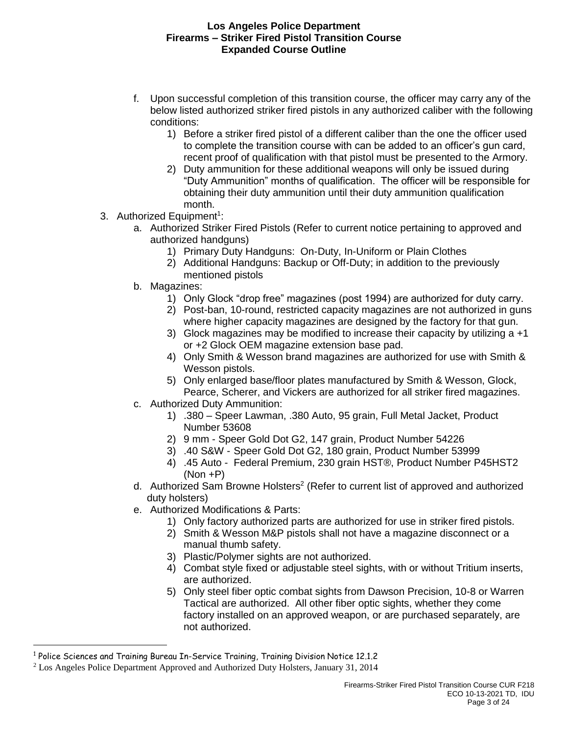- f. Upon successful completion of this transition course, the officer may carry any of the below listed authorized striker fired pistols in any authorized caliber with the following conditions:
	- 1) Before a striker fired pistol of a different caliber than the one the officer used to complete the transition course with can be added to an officer's gun card, recent proof of qualification with that pistol must be presented to the Armory.
	- 2) Duty ammunition for these additional weapons will only be issued during "Duty Ammunition" months of qualification. The officer will be responsible for obtaining their duty ammunition until their duty ammunition qualification month.
- 3. Authorized Equipment<sup>1</sup>:
	- a. Authorized Striker Fired Pistols (Refer to current notice pertaining to approved and authorized handguns)
		- 1) Primary Duty Handguns: On-Duty, In-Uniform or Plain Clothes
		- 2) Additional Handguns: Backup or Off-Duty; in addition to the previously mentioned pistols
	- b. Magazines:
		- 1) Only Glock "drop free" magazines (post 1994) are authorized for duty carry.
		- 2) Post-ban, 10-round, restricted capacity magazines are not authorized in guns where higher capacity magazines are designed by the factory for that gun.
		- 3) Glock magazines may be modified to increase their capacity by utilizing  $a + 1$ or +2 Glock OEM magazine extension base pad.
		- 4) Only Smith & Wesson brand magazines are authorized for use with Smith & Wesson pistols.
		- 5) Only enlarged base/floor plates manufactured by Smith & Wesson, Glock, Pearce, Scherer, and Vickers are authorized for all striker fired magazines.
	- c. Authorized Duty Ammunition:
		- 1) .380 Speer Lawman, .380 Auto, 95 grain, Full Metal Jacket, Product Number 53608
		- 2) 9 mm Speer Gold Dot G2, 147 grain, Product Number 54226
		- 3) .40 S&W Speer Gold Dot G2, 180 grain, Product Number 53999
		- 4) .45 Auto Federal Premium, 230 grain HST®, Product Number P45HST2 (Non +P)
	- d. Authorized Sam Browne Holsters<sup>2</sup> (Refer to current list of approved and authorized duty holsters)
	- e. Authorized Modifications & Parts:
		- 1) Only factory authorized parts are authorized for use in striker fired pistols.
		- 2) Smith & Wesson M&P pistols shall not have a magazine disconnect or a manual thumb safety.
		- 3) Plastic/Polymer sights are not authorized.
		- 4) Combat style fixed or adjustable steel sights, with or without Tritium inserts, are authorized.
		- 5) Only steel fiber optic combat sights from Dawson Precision, 10-8 or Warren Tactical are authorized. All other fiber optic sights, whether they come factory installed on an approved weapon, or are purchased separately, are not authorized.

<sup>1</sup> Police Sciences and Training Bureau In-Service Training, Training Division Notice 12.1.2

<sup>2</sup> Los Angeles Police Department Approved and Authorized Duty Holsters, January 31, 2014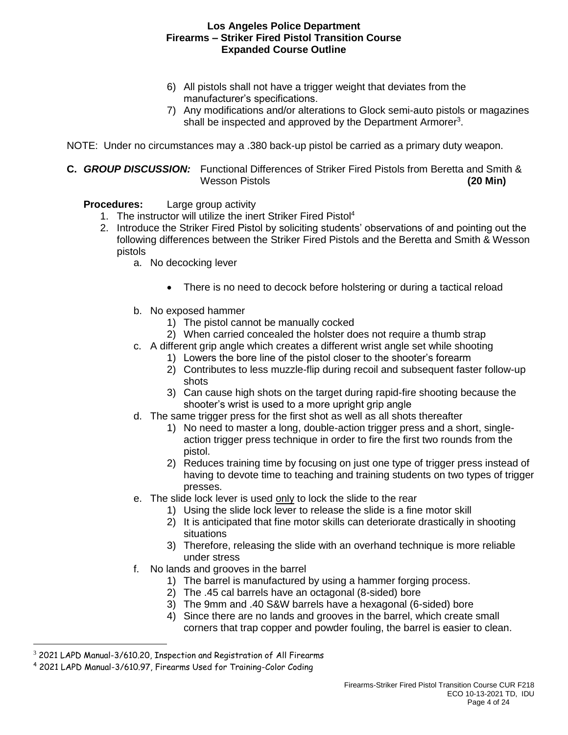- 6) All pistols shall not have a trigger weight that deviates from the manufacturer's specifications.
- 7) Any modifications and/or alterations to Glock semi-auto pistols or magazines shall be inspected and approved by the Department Armorer<sup>3</sup>.

NOTE: Under no circumstances may a .380 back-up pistol be carried as a primary duty weapon.

**C.** *GROUP DISCUSSION:* Functional Differences of Striker Fired Pistols from Beretta and Smith & Wesson Pistols **(20 Min)**

# **Procedures:** Large group activity

- 1. The instructor will utilize the inert Striker Fired Pistol<sup>4</sup>
- 2. Introduce the Striker Fired Pistol by soliciting students' observations of and pointing out the following differences between the Striker Fired Pistols and the Beretta and Smith & Wesson pistols
	- a. No decocking lever
		- There is no need to decock before holstering or during a tactical reload
	- b. No exposed hammer
		- 1) The pistol cannot be manually cocked
		- 2) When carried concealed the holster does not require a thumb strap
	- c. A different grip angle which creates a different wrist angle set while shooting
		- 1) Lowers the bore line of the pistol closer to the shooter's forearm
		- 2) Contributes to less muzzle-flip during recoil and subsequent faster follow-up shots
		- 3) Can cause high shots on the target during rapid-fire shooting because the shooter's wrist is used to a more upright grip angle
	- d. The same trigger press for the first shot as well as all shots thereafter
		- 1) No need to master a long, double-action trigger press and a short, singleaction trigger press technique in order to fire the first two rounds from the pistol.
		- 2) Reduces training time by focusing on just one type of trigger press instead of having to devote time to teaching and training students on two types of trigger presses.
	- e. The slide lock lever is used only to lock the slide to the rear
		- 1) Using the slide lock lever to release the slide is a fine motor skill
		- 2) It is anticipated that fine motor skills can deteriorate drastically in shooting situations
		- 3) Therefore, releasing the slide with an overhand technique is more reliable under stress
	- f. No lands and grooves in the barrel
		- 1) The barrel is manufactured by using a hammer forging process.
		- 2) The .45 cal barrels have an octagonal (8-sided) bore
		- 3) The 9mm and .40 S&W barrels have a hexagonal (6-sided) bore
		- 4) Since there are no lands and grooves in the barrel, which create small corners that trap copper and powder fouling, the barrel is easier to clean.

 $3$  2021 LAPD Manual-3/610.20, Inspection and Registration of All Firearms

<sup>4</sup> 2021 LAPD Manual-3/610.97, Firearms Used for Training-Color Coding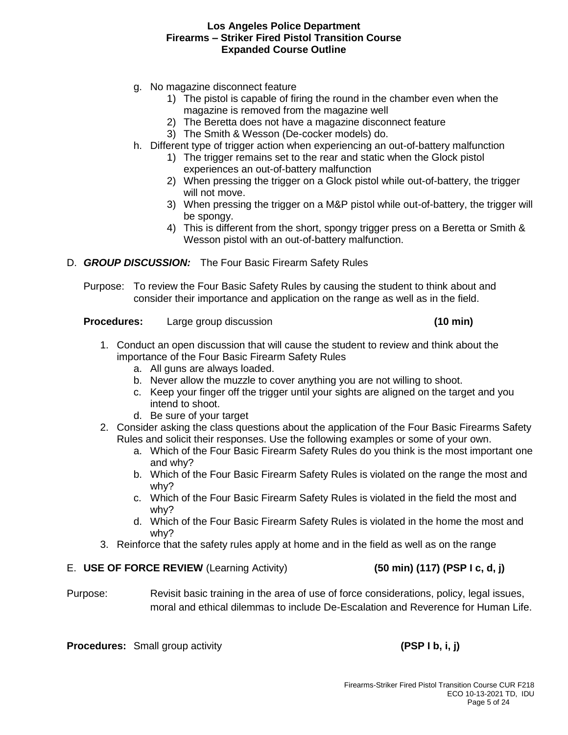- g. No magazine disconnect feature
	- 1) The pistol is capable of firing the round in the chamber even when the magazine is removed from the magazine well
	- 2) The Beretta does not have a magazine disconnect feature
	- 3) The Smith & Wesson (De-cocker models) do.
- h. Different type of trigger action when experiencing an out-of-battery malfunction
	- 1) The trigger remains set to the rear and static when the Glock pistol experiences an out-of-battery malfunction
	- 2) When pressing the trigger on a Glock pistol while out-of-battery, the trigger will not move.
	- 3) When pressing the trigger on a M&P pistol while out-of-battery, the trigger will be spongy.
	- 4) This is different from the short, spongy trigger press on a Beretta or Smith & Wesson pistol with an out-of-battery malfunction.
- D. *GROUP DISCUSSION:* The Four Basic Firearm Safety Rules

Purpose: To review the Four Basic Safety Rules by causing the student to think about and consider their importance and application on the range as well as in the field.

**Procedures:** Large group discussion **and in the contract of the contract of the contract of the contract of the contract of the contract of the contract of the contract of the contract of the contract of the contract of t** 

- 1. Conduct an open discussion that will cause the student to review and think about the importance of the Four Basic Firearm Safety Rules
	- a. All guns are always loaded.
	- b. Never allow the muzzle to cover anything you are not willing to shoot.
	- c. Keep your finger off the trigger until your sights are aligned on the target and you intend to shoot.
	- d. Be sure of your target
- 2. Consider asking the class questions about the application of the Four Basic Firearms Safety Rules and solicit their responses. Use the following examples or some of your own.
	- a. Which of the Four Basic Firearm Safety Rules do you think is the most important one and why?
	- b. Which of the Four Basic Firearm Safety Rules is violated on the range the most and why?
	- c. Which of the Four Basic Firearm Safety Rules is violated in the field the most and why?
	- d. Which of the Four Basic Firearm Safety Rules is violated in the home the most and why?
- 3. Reinforce that the safety rules apply at home and in the field as well as on the range

#### E. **USE OF FORCE REVIEW** (Learning Activity) **(50 min) (117) (PSP I c, d, j)**

Purpose: Revisit basic training in the area of use of force considerations, policy, legal issues, moral and ethical dilemmas to include De-Escalation and Reverence for Human Life.

**Procedures:** Small group activity **activity (PSP I b, i, j)**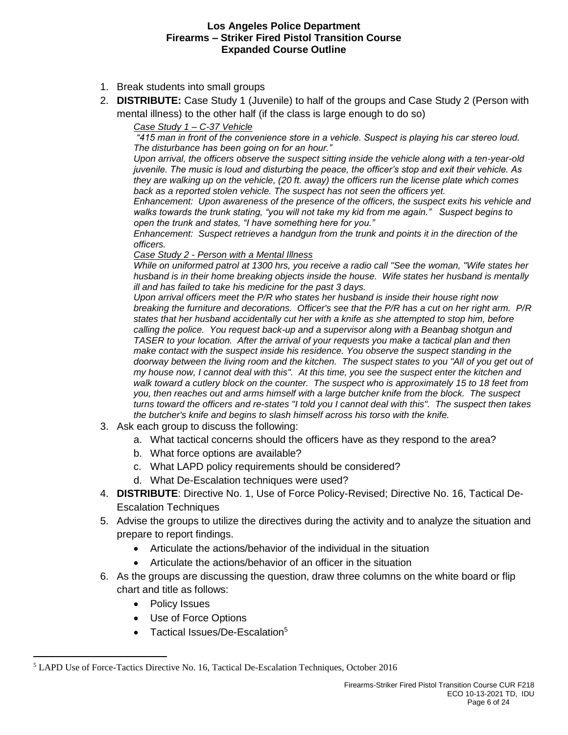- 1. Break students into small groups
- 2. **DISTRIBUTE:** Case Study 1 (Juvenile) to half of the groups and Case Study 2 (Person with mental illness) to the other half (if the class is large enough to do so)

*Case Study 1 – C-37 Vehicle*

*"415 man in front of the convenience store in a vehicle. Suspect is playing his car stereo loud. The disturbance has been going on for an hour."*

*Upon arrival, the officers observe the suspect sitting inside the vehicle along with a ten-year-old juvenile. The music is loud and disturbing the peace, the officer's stop and exit their vehicle. As they are walking up on the vehicle, (20 ft. away) the officers run the license plate which comes back as a reported stolen vehicle. The suspect has not seen the officers yet.* 

*Enhancement: Upon awareness of the presence of the officers, the suspect exits his vehicle and walks towards the trunk stating, "you will not take my kid from me again." Suspect begins to open the trunk and states, "I have something here for you."*

*Enhancement: Suspect retrieves a handgun from the trunk and points it in the direction of the officers.*

#### *Case Study 2 - Person with a Mental Illness*

*While on uniformed patrol at 1300 hrs, you receive a radio call "See the woman, "Wife states her husband is in their home breaking objects inside the house. Wife states her husband is mentally ill and has failed to take his medicine for the past 3 days.* 

*Upon arrival officers meet the P/R who states her husband is inside their house right now breaking the furniture and decorations. Officer's see that the P/R has a cut on her right arm. P/R states that her husband accidentally cut her with a knife as she attempted to stop him, before calling the police. You request back-up and a supervisor along with a Beanbag shotgun and TASER to your location. After the arrival of your requests you make a tactical plan and then make contact with the suspect inside his residence. You observe the suspect standing in the*  doorway between the living room and the kitchen. The suspect states to you "All of you get out of *my house now, I cannot deal with this". At this time, you see the suspect enter the kitchen and walk toward a cutlery block on the counter. The suspect who is approximately 15 to 18 feet from you, then reaches out and arms himself with a large butcher knife from the block. The suspect turns toward the officers and re-states "I told you I cannot deal with this". The suspect then takes the butcher's knife and begins to slash himself across his torso with the knife.*

- 3. Ask each group to discuss the following:
	- a. What tactical concerns should the officers have as they respond to the area?
	- b. What force options are available?
	- c. What LAPD policy requirements should be considered?
	- d. What De-Escalation techniques were used?
- 4. **DISTRIBUTE**: Directive No. 1, Use of Force Policy-Revised; Directive No. 16, Tactical De-Escalation Techniques
- 5. Advise the groups to utilize the directives during the activity and to analyze the situation and prepare to report findings.
	- Articulate the actions/behavior of the individual in the situation
	- Articulate the actions/behavior of an officer in the situation
- 6. As the groups are discussing the question, draw three columns on the white board or flip chart and title as follows:
	- Policy Issues

- Use of Force Options
- Tactical Issues/De-Escalation<sup>5</sup>

<sup>5</sup> LAPD Use of Force-Tactics Directive No. 16, Tactical De-Escalation Techniques, October 2016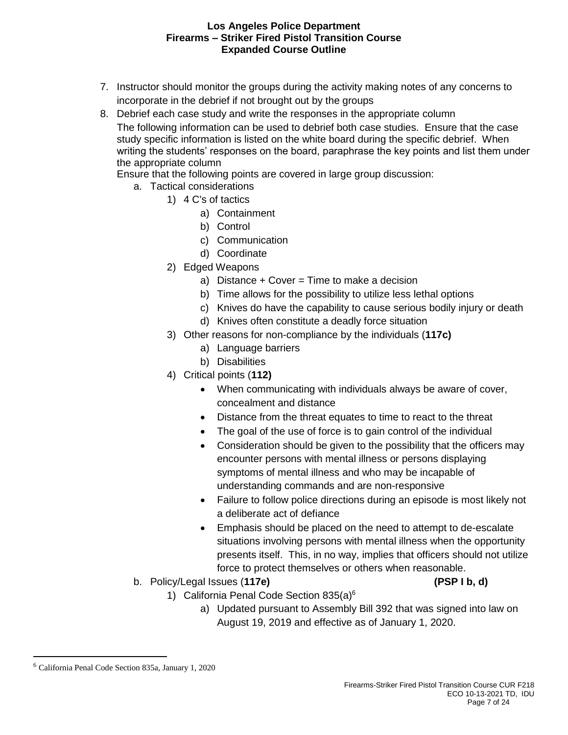- 7. Instructor should monitor the groups during the activity making notes of any concerns to incorporate in the debrief if not brought out by the groups
- 8. Debrief each case study and write the responses in the appropriate column The following information can be used to debrief both case studies. Ensure that the case study specific information is listed on the white board during the specific debrief. When writing the students' responses on the board, paraphrase the key points and list them under the appropriate column

Ensure that the following points are covered in large group discussion:

- a. Tactical considerations
	- 1) 4 C's of tactics
		- a) Containment
		- b) Control
		- c) Communication
		- d) Coordinate
	- 2) Edged Weapons
		- a) Distance  $+$  Cover = Time to make a decision
		- b) Time allows for the possibility to utilize less lethal options
		- c) Knives do have the capability to cause serious bodily injury or death
		- d) Knives often constitute a deadly force situation
	- 3) Other reasons for non-compliance by the individuals (**117c)**
		- a) Language barriers
		- b) Disabilities
	- 4) Critical points (**112)**
		- When communicating with individuals always be aware of cover, concealment and distance
		- Distance from the threat equates to time to react to the threat
		- The goal of the use of force is to gain control of the individual
		- Consideration should be given to the possibility that the officers may encounter persons with mental illness or persons displaying symptoms of mental illness and who may be incapable of understanding commands and are non-responsive
		- Failure to follow police directions during an episode is most likely not a deliberate act of defiance
		- Emphasis should be placed on the need to attempt to de-escalate situations involving persons with mental illness when the opportunity presents itself. This, in no way, implies that officers should not utilize force to protect themselves or others when reasonable.
- b. Policy/Legal Issues (**117e) (PSP I b, d)**
- - 1) California Penal Code Section 835(a)<sup>6</sup>
		- a) Updated pursuant to Assembly Bill 392 that was signed into law on August 19, 2019 and effective as of January 1, 2020.

<sup>6</sup> California Penal Code Section 835a, January 1, 2020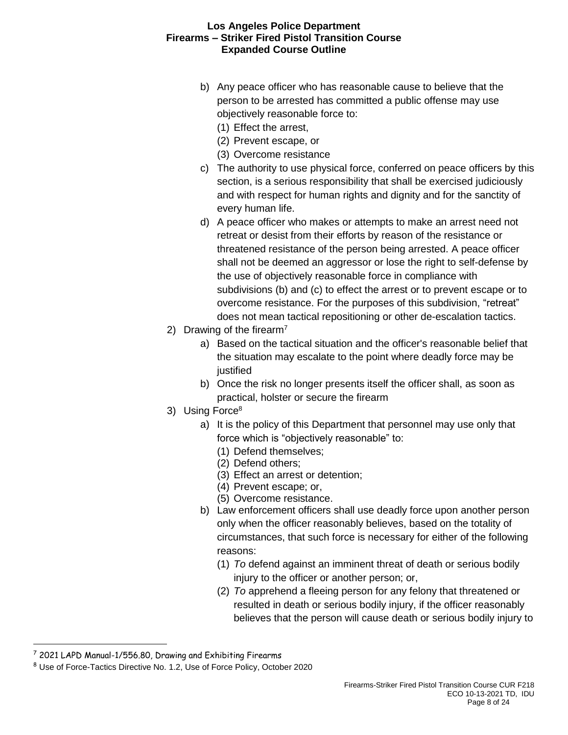- b) Any peace officer who has reasonable cause to believe that the person to be arrested has committed a public offense may use objectively reasonable force to:
	- (1) Effect the arrest,
	- (2) Prevent escape, or
	- (3) Overcome resistance
- c) The authority to use physical force, conferred on peace officers by this section, is a serious responsibility that shall be exercised judiciously and with respect for human rights and dignity and for the sanctity of every human life.
- d) A peace officer who makes or attempts to make an arrest need not retreat or desist from their efforts by reason of the resistance or threatened resistance of the person being arrested. A peace officer shall not be deemed an aggressor or lose the right to self-defense by the use of objectively reasonable force in compliance with subdivisions (b) and (c) to effect the arrest or to prevent escape or to overcome resistance. For the purposes of this subdivision, "retreat" does not mean tactical repositioning or other de-escalation tactics.
- 2) Drawing of the firearm<sup>7</sup>
	- a) Based on the tactical situation and the officer's reasonable belief that the situation may escalate to the point where deadly force may be justified
	- b) Once the risk no longer presents itself the officer shall, as soon as practical, holster or secure the firearm
- 3) Using Force<sup>8</sup>
	- a) It is the policy of this Department that personnel may use only that force which is "objectively reasonable" to:
		- (1) Defend themselves;
		- (2) Defend others;
		- (3) Effect an arrest or detention;
		- (4) Prevent escape; or,
		- (5) Overcome resistance.
	- b) Law enforcement officers shall use deadly force upon another person only when the officer reasonably believes, based on the totality of circumstances, that such force is necessary for either of the following reasons:
		- (1) *To* defend against an imminent threat of death or serious bodily injury to the officer or another person; or,
		- (2) *To* apprehend a fleeing person for any felony that threatened or resulted in death or serious bodily injury, if the officer reasonably believes that the person will cause death or serious bodily injury to

<sup>7</sup> 2021 LAPD Manual-1/556.80, Drawing and Exhibiting Firearms

<sup>&</sup>lt;sup>8</sup> Use of Force-Tactics Directive No. 1.2, Use of Force Policy, October 2020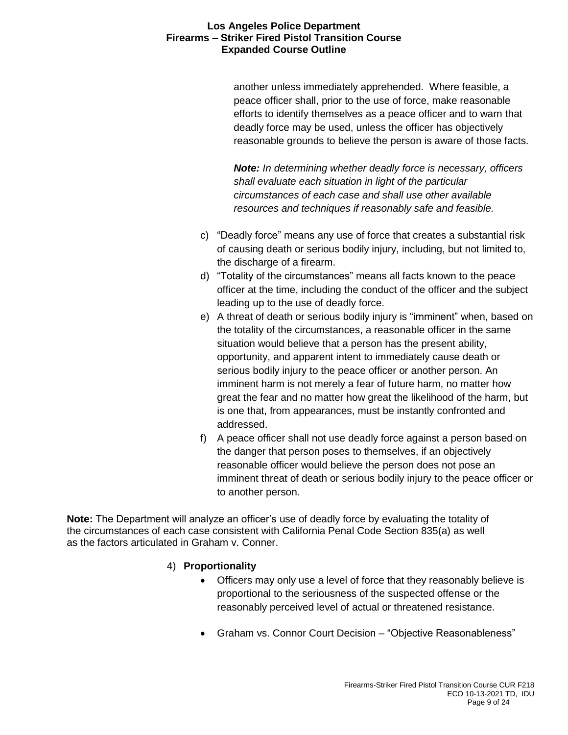another unless immediately apprehended. Where feasible, a peace officer shall, prior to the use of force, make reasonable efforts to identify themselves as a peace officer and to warn that deadly force may be used, unless the officer has objectively reasonable grounds to believe the person is aware of those facts.

*Note: In determining whether deadly force is necessary, officers shall evaluate each situation in light of the particular circumstances of each case and shall use other available resources and techniques if reasonably safe and feasible.*

- c) "Deadly force" means any use of force that creates a substantial risk of causing death or serious bodily injury, including, but not limited to, the discharge of a firearm.
- d) "Totality of the circumstances" means all facts known to the peace officer at the time, including the conduct of the officer and the subject leading up to the use of deadly force.
- e) A threat of death or serious bodily injury is "imminent" when, based on the totality of the circumstances, a reasonable officer in the same situation would believe that a person has the present ability, opportunity, and apparent intent to immediately cause death or serious bodily injury to the peace officer or another person. An imminent harm is not merely a fear of future harm, no matter how great the fear and no matter how great the likelihood of the harm, but is one that, from appearances, must be instantly confronted and addressed.
- f) A peace officer shall not use deadly force against a person based on the danger that person poses to themselves, if an objectively reasonable officer would believe the person does not pose an imminent threat of death or serious bodily injury to the peace officer or to another person.

**Note:** The Department will analyze an officer's use of deadly force by evaluating the totality of the circumstances of each case consistent with California Penal Code Section 835(a) as well as the factors articulated in Graham v. Conner.

# 4) **Proportionality**

- Officers may only use a level of force that they reasonably believe is proportional to the seriousness of the suspected offense or the reasonably perceived level of actual or threatened resistance.
- Graham vs. Connor Court Decision "Objective Reasonableness"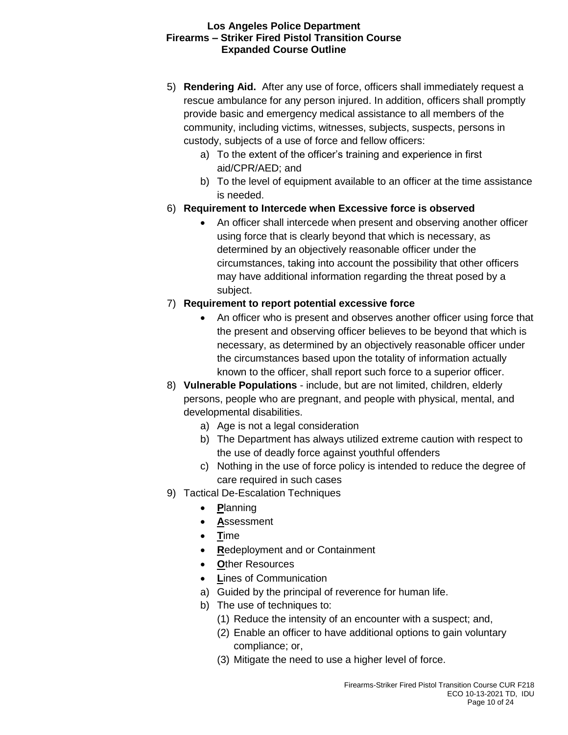- 5) **Rendering Aid.** After any use of force, officers shall immediately request a rescue ambulance for any person injured. In addition, officers shall promptly provide basic and emergency medical assistance to all members of the community, including victims, witnesses, subjects, suspects, persons in custody, subjects of a use of force and fellow officers:
	- a) To the extent of the officer's training and experience in first aid/CPR/AED; and
	- b) To the level of equipment available to an officer at the time assistance is needed.
- 6) **Requirement to Intercede when Excessive force is observed**
	- An officer shall intercede when present and observing another officer using force that is clearly beyond that which is necessary, as determined by an objectively reasonable officer under the circumstances, taking into account the possibility that other officers may have additional information regarding the threat posed by a subject.
- 7) **Requirement to report potential excessive force**
	- An officer who is present and observes another officer using force that the present and observing officer believes to be beyond that which is necessary, as determined by an objectively reasonable officer under the circumstances based upon the totality of information actually known to the officer, shall report such force to a superior officer.
- 8) **Vulnerable Populations** include, but are not limited, children, elderly persons, people who are pregnant, and people with physical, mental, and developmental disabilities.
	- a) Age is not a legal consideration
	- b) The Department has always utilized extreme caution with respect to the use of deadly force against youthful offenders
	- c) Nothing in the use of force policy is intended to reduce the degree of care required in such cases
- 9) Tactical De-Escalation Techniques
	- **P**lanning
	- **A**ssessment
	- **T**ime
	- **R**edeployment and or Containment
	- **O**ther Resources
	- **L**ines of Communication
	- a) Guided by the principal of reverence for human life.
	- b) The use of techniques to:
		- (1) Reduce the intensity of an encounter with a suspect; and,
		- (2) Enable an officer to have additional options to gain voluntary compliance; or,
		- (3) Mitigate the need to use a higher level of force.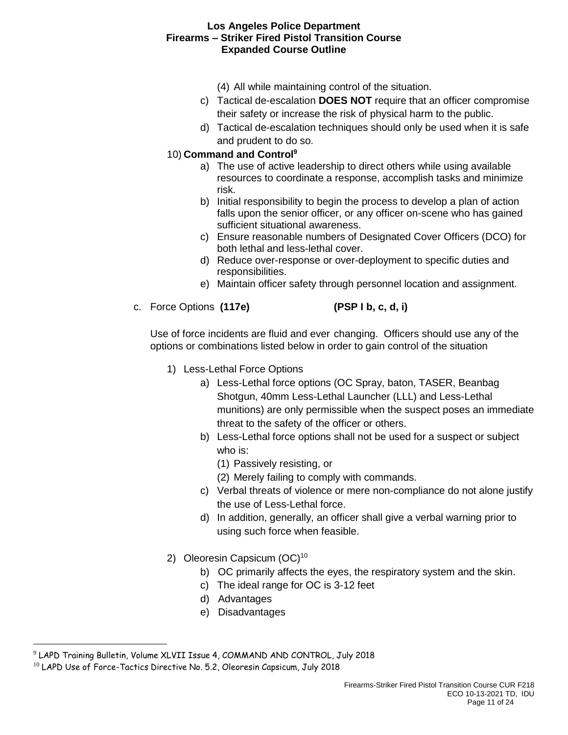- (4) All while maintaining control of the situation.
- c) Tactical de-escalation **DOES NOT** require that an officer compromise their safety or increase the risk of physical harm to the public.
- d) Tactical de-escalation techniques should only be used when it is safe and prudent to do so.

# 10) **Command and Control<sup>9</sup>**

- a) The use of active leadership to direct others while using available resources to coordinate a response, accomplish tasks and minimize risk.
- b) Initial responsibility to begin the process to develop a plan of action falls upon the senior officer, or any officer on-scene who has gained sufficient situational awareness.
- c) Ensure reasonable numbers of Designated Cover Officers (DCO) for both lethal and less-lethal cover.
- d) Reduce over-response or over-deployment to specific duties and responsibilities.
- e) Maintain officer safety through personnel location and assignment.
- c. Force Options **(117e) (PSP I b, c, d, i)**

Use of force incidents are fluid and ever changing. Officers should use any of the options or combinations listed below in order to gain control of the situation

- 1) Less-Lethal Force Options
	- a) Less-Lethal force options (OC Spray, baton, TASER, Beanbag Shotgun, 40mm Less-Lethal Launcher (LLL) and Less-Lethal munitions) are only permissible when the suspect poses an immediate threat to the safety of the officer or others.
	- b) Less-Lethal force options shall not be used for a suspect or subject who is:
		- (1) Passively resisting, or
		- (2) Merely failing to comply with commands.
	- c) Verbal threats of violence or mere non-compliance do not alone justify the use of Less-Lethal force.
	- d) In addition, generally, an officer shall give a verbal warning prior to using such force when feasible.
- 2) Oleoresin Capsicum (OC)<sup>10</sup>
	- b) OC primarily affects the eyes, the respiratory system and the skin.
	- c) The ideal range for OC is 3-12 feet
	- d) Advantages
	- e) Disadvantages

<sup>9</sup> LAPD Training Bulletin, Volume XLVII Issue 4, COMMAND AND CONTROL, July 2018

 $^{10}$  LAPD Use of Force-Tactics Directive No. 5.2, Oleoresin Capsicum, July 2018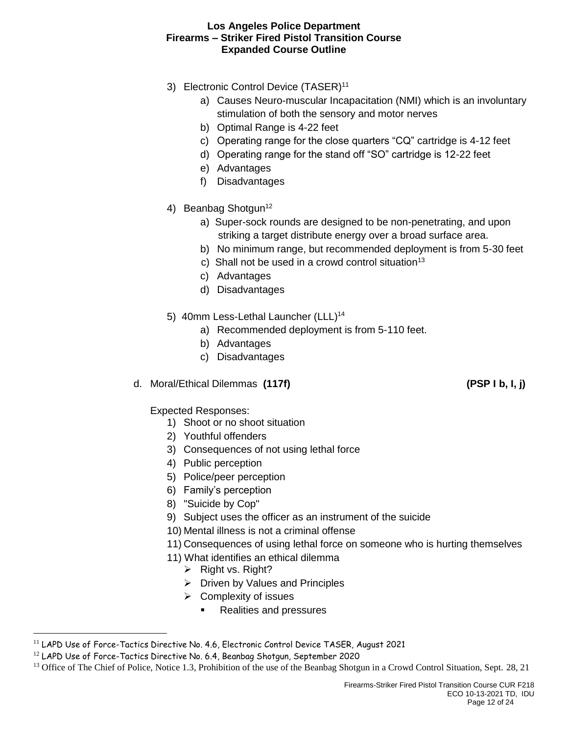- 3) Electronic Control Device (TASER)<sup>11</sup>
	- a) Causes Neuro-muscular Incapacitation (NMI) which is an involuntary stimulation of both the sensory and motor nerves
	- b) Optimal Range is 4-22 feet
	- c) Operating range for the close quarters "CQ" cartridge is 4-12 feet
	- d) Operating range for the stand off "SO" cartridge is 12-22 feet
	- e) Advantages
	- f) Disadvantages
- 4) Beanbag Shotgun<sup>12</sup>
	- a) Super-sock rounds are designed to be non-penetrating, and upon striking a target distribute energy over a broad surface area.
	- b) No minimum range, but recommended deployment is from 5-30 feet
	- c) Shall not be used in a crowd control situation $13$
	- c) Advantages
	- d) Disadvantages
- 5) 40mm Less-Lethal Launcher (LLL)<sup>14</sup>
	- a) Recommended deployment is from 5-110 feet.
	- b) Advantages
	- c) Disadvantages
- d. Moral/Ethical Dilemmas **(117f) (PSP I b, I, j)**

Expected Responses:

- 1) Shoot or no shoot situation
- 2) Youthful offenders
- 3) Consequences of not using lethal force
- 4) Public perception
- 5) Police/peer perception
- 6) Family's perception
- 8) "Suicide by Cop"
- 9) Subject uses the officer as an instrument of the suicide
- 10) Mental illness is not a criminal offense
- 11) Consequences of using lethal force on someone who is hurting themselves
- 11) What identifies an ethical dilemma
	- ➢ Right vs. Right?
	- ➢ Driven by Values and Principles
	- $\triangleright$  Complexity of issues
		- Realities and pressures

 $11$  LAPD Use of Force-Tactics Directive No. 4.6, Electronic Control Device TASER, August 2021

<sup>12</sup> LAPD Use of Force-Tactics Directive No. 6.4, Beanbag Shotgun, September 2020

<sup>&</sup>lt;sup>13</sup> Office of The Chief of Police, Notice 1.3, Prohibition of the use of the Beanbag Shotgun in a Crowd Control Situation, Sept. 28, 21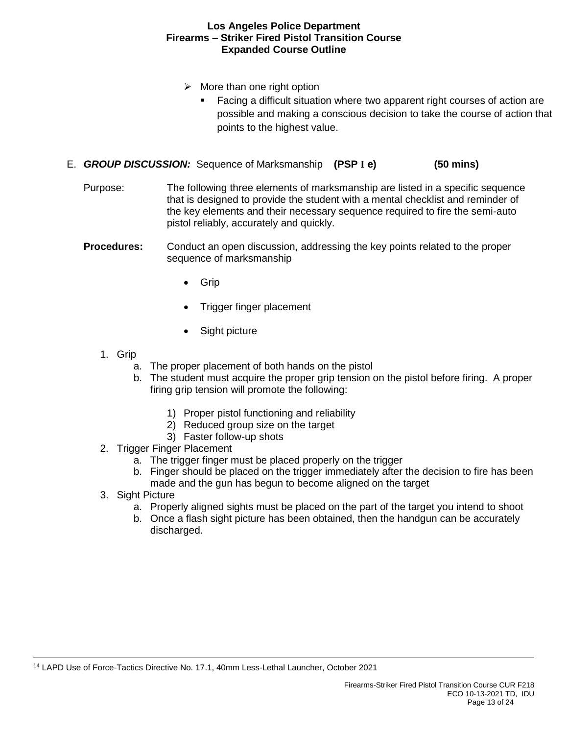- $\triangleright$  More than one right option
	- Facing a difficult situation where two apparent right courses of action are possible and making a conscious decision to take the course of action that points to the highest value.
- E. *GROUP DISCUSSION:* Sequence of Marksmanship **(PSP I e) (50 mins)**
	- Purpose: The following three elements of marksmanship are listed in a specific sequence that is designed to provide the student with a mental checklist and reminder of the key elements and their necessary sequence required to fire the semi-auto pistol reliably, accurately and quickly.
	- **Procedures:** Conduct an open discussion, addressing the key points related to the proper sequence of marksmanship
		- Grip
		- Trigger finger placement
		- Sight picture
		- 1. Grip
			- a. The proper placement of both hands on the pistol
			- b. The student must acquire the proper grip tension on the pistol before firing. A proper firing grip tension will promote the following:
				- 1) Proper pistol functioning and reliability
				- 2) Reduced group size on the target
				- 3) Faster follow-up shots
		- 2. Trigger Finger Placement
			- a. The trigger finger must be placed properly on the trigger
			- b. Finger should be placed on the trigger immediately after the decision to fire has been made and the gun has begun to become aligned on the target
		- 3. Sight Picture
			- a. Properly aligned sights must be placed on the part of the target you intend to shoot
			- b. Once a flash sight picture has been obtained, then the handgun can be accurately discharged.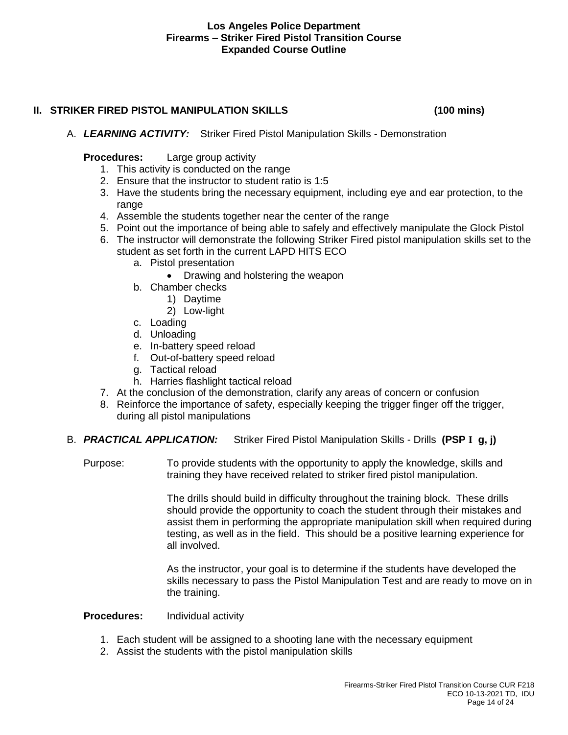# **II. STRIKER FIRED PISTOL MANIPULATION SKILLS (100 mins)**

### A. *LEARNING ACTIVITY:* Striker Fired Pistol Manipulation Skills - Demonstration

# **Procedures:** Large group activity

- 1. This activity is conducted on the range
- 2. Ensure that the instructor to student ratio is 1:5
- 3. Have the students bring the necessary equipment, including eye and ear protection, to the range
- 4. Assemble the students together near the center of the range
- 5. Point out the importance of being able to safely and effectively manipulate the Glock Pistol
- 6. The instructor will demonstrate the following Striker Fired pistol manipulation skills set to the student as set forth in the current LAPD HITS ECO
	- a. Pistol presentation
		- Drawing and holstering the weapon
	- b. Chamber checks
		- 1) Daytime
		- 2) Low-light
	- c. Loading
	- d. Unloading
	- e. In-battery speed reload
	- f. Out-of-battery speed reload
	- g. Tactical reload
	- h. Harries flashlight tactical reload
- 7. At the conclusion of the demonstration, clarify any areas of concern or confusion
- 8. Reinforce the importance of safety, especially keeping the trigger finger off the trigger, during all pistol manipulations
- B. *PRACTICAL APPLICATION:* Striker Fired Pistol Manipulation Skills Drills **(PSP I g, j)**

Purpose: To provide students with the opportunity to apply the knowledge, skills and training they have received related to striker fired pistol manipulation.

> The drills should build in difficulty throughout the training block. These drills should provide the opportunity to coach the student through their mistakes and assist them in performing the appropriate manipulation skill when required during testing, as well as in the field. This should be a positive learning experience for all involved.

> As the instructor, your goal is to determine if the students have developed the skills necessary to pass the Pistol Manipulation Test and are ready to move on in the training.

# **Procedures:** Individual activity

- 1. Each student will be assigned to a shooting lane with the necessary equipment
- 2. Assist the students with the pistol manipulation skills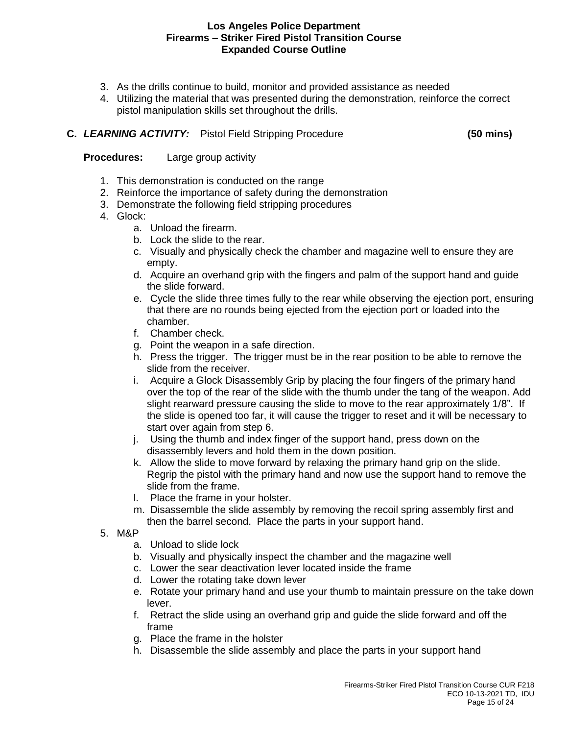- 3. As the drills continue to build, monitor and provided assistance as needed
- 4. Utilizing the material that was presented during the demonstration, reinforce the correct pistol manipulation skills set throughout the drills.

# **C.** *LEARNING ACTIVITY:* Pistol Field Stripping Procedure **(50 mins)**

**Procedures:** Large group activity

- 1. This demonstration is conducted on the range
- 2. Reinforce the importance of safety during the demonstration
- 3. Demonstrate the following field stripping procedures
- 4. Glock:
	- a. Unload the firearm.
	- b. Lock the slide to the rear.
	- c. Visually and physically check the chamber and magazine well to ensure they are empty.
	- d. Acquire an overhand grip with the fingers and palm of the support hand and guide the slide forward.
	- e. Cycle the slide three times fully to the rear while observing the ejection port, ensuring that there are no rounds being ejected from the ejection port or loaded into the chamber.
	- f. Chamber check.
	- g. Point the weapon in a safe direction.
	- h. Press the trigger. The trigger must be in the rear position to be able to remove the slide from the receiver.
	- i. Acquire a Glock Disassembly Grip by placing the four fingers of the primary hand over the top of the rear of the slide with the thumb under the tang of the weapon. Add slight rearward pressure causing the slide to move to the rear approximately 1/8". If the slide is opened too far, it will cause the trigger to reset and it will be necessary to start over again from step 6.
	- j. Using the thumb and index finger of the support hand, press down on the disassembly levers and hold them in the down position.
	- k. Allow the slide to move forward by relaxing the primary hand grip on the slide. Regrip the pistol with the primary hand and now use the support hand to remove the slide from the frame.
	- l. Place the frame in your holster.
	- m. Disassemble the slide assembly by removing the recoil spring assembly first and then the barrel second. Place the parts in your support hand.
- 5. M&P
	- a. Unload to slide lock
	- b. Visually and physically inspect the chamber and the magazine well
	- c. Lower the sear deactivation lever located inside the frame
	- d. Lower the rotating take down lever
	- e. Rotate your primary hand and use your thumb to maintain pressure on the take down lever.
	- f. Retract the slide using an overhand grip and guide the slide forward and off the frame
	- g. Place the frame in the holster
	- h. Disassemble the slide assembly and place the parts in your support hand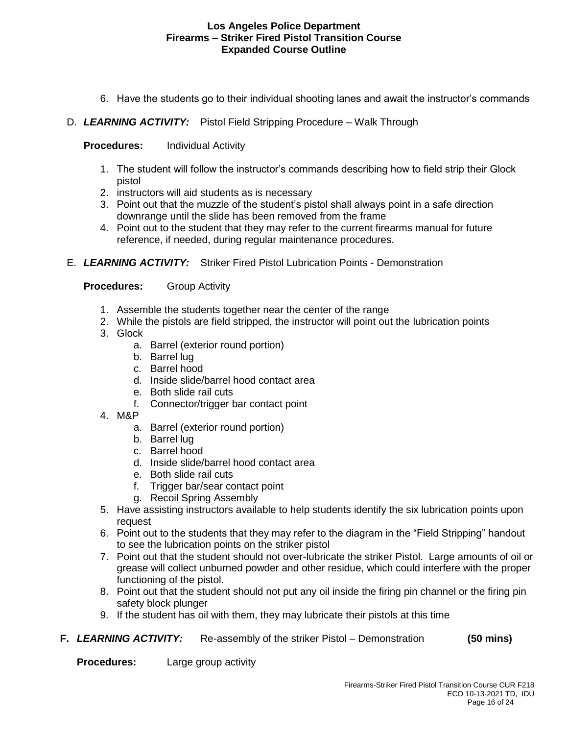- 6. Have the students go to their individual shooting lanes and await the instructor's commands
- D. *LEARNING ACTIVITY:* Pistol Field Stripping Procedure Walk Through

### **Procedures:** Individual Activity

- 1. The student will follow the instructor's commands describing how to field strip their Glock pistol
- 2. instructors will aid students as is necessary
- 3. Point out that the muzzle of the student's pistol shall always point in a safe direction downrange until the slide has been removed from the frame
- 4. Point out to the student that they may refer to the current firearms manual for future reference, if needed, during regular maintenance procedures.
- E. *LEARNING ACTIVITY:* Striker Fired Pistol Lubrication Points Demonstration

### **Procedures:** Group Activity

- 1. Assemble the students together near the center of the range
- 2. While the pistols are field stripped, the instructor will point out the lubrication points
- 3. Glock
	- a. Barrel (exterior round portion)
	- b. Barrel lug
	- c. Barrel hood
	- d. Inside slide/barrel hood contact area
	- e. Both slide rail cuts
	- f. Connector/trigger bar contact point
- 4. M&P
	- a. Barrel (exterior round portion)
	- b. Barrel lug
	- c. Barrel hood
	- d. Inside slide/barrel hood contact area
	- e. Both slide rail cuts
	- f. Trigger bar/sear contact point
	- g. Recoil Spring Assembly
- 5. Have assisting instructors available to help students identify the six lubrication points upon request
- 6. Point out to the students that they may refer to the diagram in the "Field Stripping" handout to see the lubrication points on the striker pistol
- 7. Point out that the student should not over-lubricate the striker Pistol. Large amounts of oil or grease will collect unburned powder and other residue, which could interfere with the proper functioning of the pistol.
- 8. Point out that the student should not put any oil inside the firing pin channel or the firing pin safety block plunger
- 9. If the student has oil with them, they may lubricate their pistols at this time
- **F.** *LEARNING ACTIVITY:* Re-assembly of the striker Pistol Demonstration **(50 mins)**

**Procedures:** Large group activity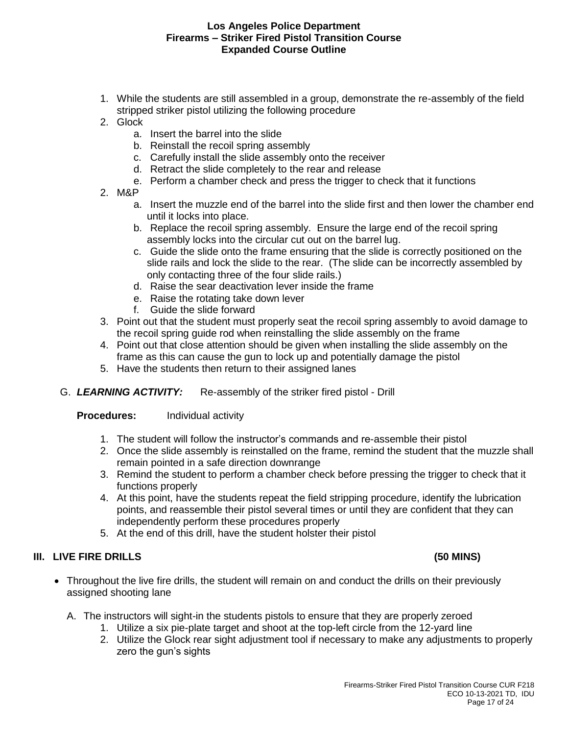- 1. While the students are still assembled in a group, demonstrate the re-assembly of the field stripped striker pistol utilizing the following procedure
- 2. Glock
	- a. Insert the barrel into the slide
	- b. Reinstall the recoil spring assembly
	- c. Carefully install the slide assembly onto the receiver
	- d. Retract the slide completely to the rear and release
	- e. Perform a chamber check and press the trigger to check that it functions
- 2. M&P
	- a. Insert the muzzle end of the barrel into the slide first and then lower the chamber end until it locks into place.
	- b. Replace the recoil spring assembly. Ensure the large end of the recoil spring assembly locks into the circular cut out on the barrel lug.
	- c. Guide the slide onto the frame ensuring that the slide is correctly positioned on the slide rails and lock the slide to the rear. (The slide can be incorrectly assembled by only contacting three of the four slide rails.)
	- d. Raise the sear deactivation lever inside the frame
	- e. Raise the rotating take down lever
	- f. Guide the slide forward
- 3. Point out that the student must properly seat the recoil spring assembly to avoid damage to the recoil spring guide rod when reinstalling the slide assembly on the frame
- 4. Point out that close attention should be given when installing the slide assembly on the frame as this can cause the gun to lock up and potentially damage the pistol
- 5. Have the students then return to their assigned lanes
- G. *LEARNING ACTIVITY:* Re-assembly of the striker fired pistol Drill

**Procedures:** Individual activity

- 1. The student will follow the instructor's commands and re-assemble their pistol
- 2. Once the slide assembly is reinstalled on the frame, remind the student that the muzzle shall remain pointed in a safe direction downrange
- 3. Remind the student to perform a chamber check before pressing the trigger to check that it functions properly
- 4. At this point, have the students repeat the field stripping procedure, identify the lubrication points, and reassemble their pistol several times or until they are confident that they can independently perform these procedures properly
- 5. At the end of this drill, have the student holster their pistol

# **III. LIVE FIRE DRILLS (50 MINS)**

- Throughout the live fire drills, the student will remain on and conduct the drills on their previously assigned shooting lane
	- A. The instructors will sight-in the students pistols to ensure that they are properly zeroed
		- 1. Utilize a six pie-plate target and shoot at the top-left circle from the 12-yard line
		- 2. Utilize the Glock rear sight adjustment tool if necessary to make any adjustments to properly zero the gun's sights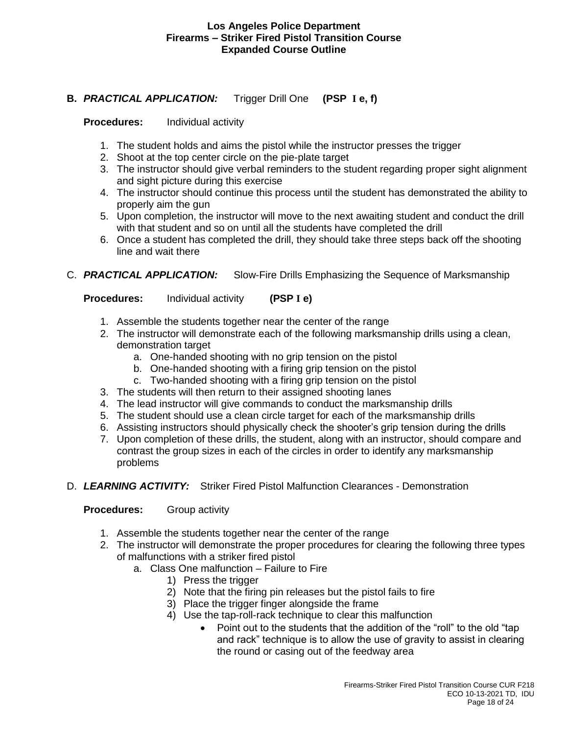# **B.** *PRACTICAL APPLICATION:* Trigger Drill One **(PSP I e, f)**

# **Procedures:** Individual activity

- 1. The student holds and aims the pistol while the instructor presses the trigger
- 2. Shoot at the top center circle on the pie-plate target
- 3. The instructor should give verbal reminders to the student regarding proper sight alignment and sight picture during this exercise
- 4. The instructor should continue this process until the student has demonstrated the ability to properly aim the gun
- 5. Upon completion, the instructor will move to the next awaiting student and conduct the drill with that student and so on until all the students have completed the drill
- 6. Once a student has completed the drill, they should take three steps back off the shooting line and wait there
- C. *PRACTICAL APPLICATION:* Slow-Fire Drills Emphasizing the Sequence of Marksmanship

**Procedures:** Individual activity **(PSP I e)**

- 1. Assemble the students together near the center of the range
- 2. The instructor will demonstrate each of the following marksmanship drills using a clean, demonstration target
	- a. One-handed shooting with no grip tension on the pistol
	- b. One-handed shooting with a firing grip tension on the pistol
	- c. Two-handed shooting with a firing grip tension on the pistol
- 3. The students will then return to their assigned shooting lanes
- 4. The lead instructor will give commands to conduct the marksmanship drills
- 5. The student should use a clean circle target for each of the marksmanship drills
- 6. Assisting instructors should physically check the shooter's grip tension during the drills
- 7. Upon completion of these drills, the student, along with an instructor, should compare and contrast the group sizes in each of the circles in order to identify any marksmanship problems
- D. *LEARNING ACTIVITY:* Striker Fired Pistol Malfunction Clearances Demonstration

# **Procedures:** Group activity

- 1. Assemble the students together near the center of the range
- 2. The instructor will demonstrate the proper procedures for clearing the following three types of malfunctions with a striker fired pistol
	- a. Class One malfunction Failure to Fire
		- 1) Press the trigger
		- 2) Note that the firing pin releases but the pistol fails to fire
		- 3) Place the trigger finger alongside the frame
		- 4) Use the tap-roll-rack technique to clear this malfunction
			- Point out to the students that the addition of the "roll" to the old "tap and rack" technique is to allow the use of gravity to assist in clearing the round or casing out of the feedway area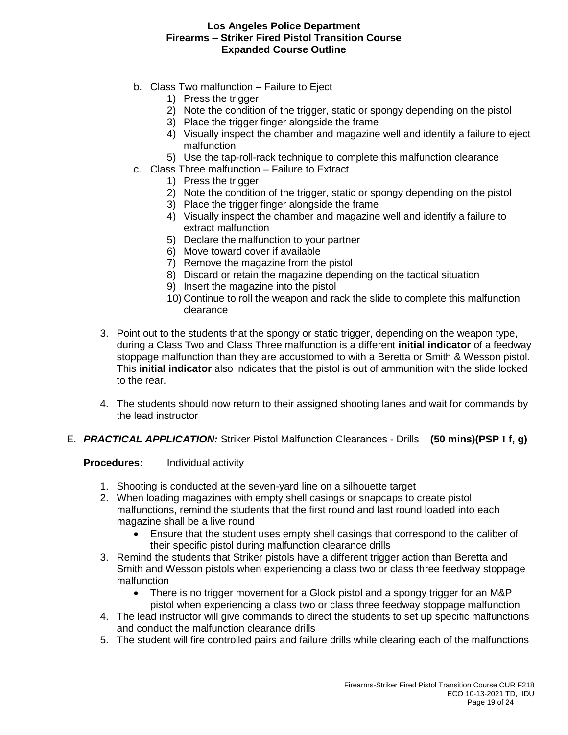- b. Class Two malfunction Failure to Eject
	- 1) Press the trigger
	- 2) Note the condition of the trigger, static or spongy depending on the pistol
	- 3) Place the trigger finger alongside the frame
	- 4) Visually inspect the chamber and magazine well and identify a failure to eject malfunction
	- 5) Use the tap-roll-rack technique to complete this malfunction clearance
- c. Class Three malfunction Failure to Extract
	- 1) Press the trigger
	- 2) Note the condition of the trigger, static or spongy depending on the pistol
	- 3) Place the trigger finger alongside the frame
	- 4) Visually inspect the chamber and magazine well and identify a failure to extract malfunction
	- 5) Declare the malfunction to your partner
	- 6) Move toward cover if available
	- 7) Remove the magazine from the pistol
	- 8) Discard or retain the magazine depending on the tactical situation
	- 9) Insert the magazine into the pistol
	- 10) Continue to roll the weapon and rack the slide to complete this malfunction clearance
- 3. Point out to the students that the spongy or static trigger, depending on the weapon type, during a Class Two and Class Three malfunction is a different **initial indicator** of a feedway stoppage malfunction than they are accustomed to with a Beretta or Smith & Wesson pistol. This **initial indicator** also indicates that the pistol is out of ammunition with the slide locked to the rear.
- 4. The students should now return to their assigned shooting lanes and wait for commands by the lead instructor
- E. *PRACTICAL APPLICATION:* Striker Pistol Malfunction Clearances Drills **(50 mins)(PSP I f, g)**

**Procedures:** Individual activity

- 1. Shooting is conducted at the seven-yard line on a silhouette target
- 2. When loading magazines with empty shell casings or snapcaps to create pistol malfunctions, remind the students that the first round and last round loaded into each magazine shall be a live round
	- Ensure that the student uses empty shell casings that correspond to the caliber of their specific pistol during malfunction clearance drills
- 3. Remind the students that Striker pistols have a different trigger action than Beretta and Smith and Wesson pistols when experiencing a class two or class three feedway stoppage malfunction
	- There is no trigger movement for a Glock pistol and a spongy trigger for an M&P pistol when experiencing a class two or class three feedway stoppage malfunction
- 4. The lead instructor will give commands to direct the students to set up specific malfunctions and conduct the malfunction clearance drills
- 5. The student will fire controlled pairs and failure drills while clearing each of the malfunctions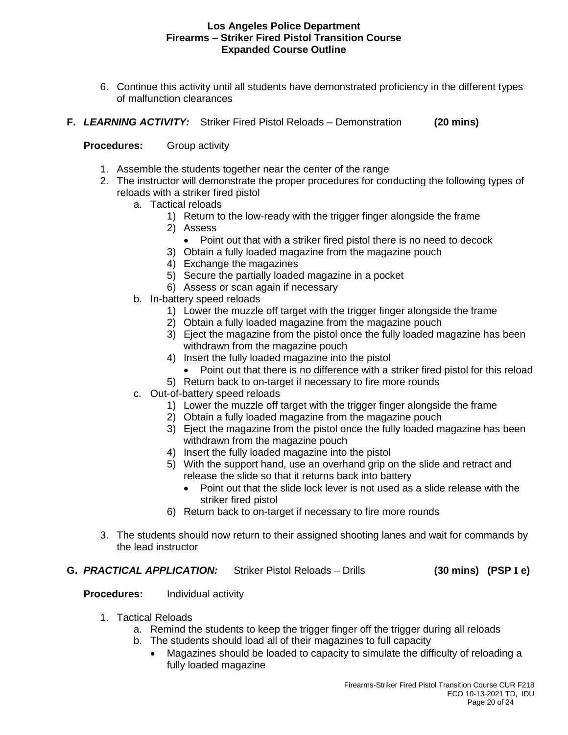- 6. Continue this activity until all students have demonstrated proficiency in the different types of malfunction clearances
- **F.** *LEARNING ACTIVITY:* Striker Fired Pistol Reloads Demonstration **(20 mins)**

# **Procedures:** Group activity

- 1. Assemble the students together near the center of the range
- 2. The instructor will demonstrate the proper procedures for conducting the following types of reloads with a striker fired pistol
	- a. Tactical reloads
		- 1) Return to the low-ready with the trigger finger alongside the frame
		- 2) Assess
			- Point out that with a striker fired pistol there is no need to decock
		- 3) Obtain a fully loaded magazine from the magazine pouch
		- 4) Exchange the magazines
		- 5) Secure the partially loaded magazine in a pocket
		- 6) Assess or scan again if necessary
	- b. In-battery speed reloads
		- 1) Lower the muzzle off target with the trigger finger alongside the frame
		- 2) Obtain a fully loaded magazine from the magazine pouch
		- 3) Eject the magazine from the pistol once the fully loaded magazine has been withdrawn from the magazine pouch
		- 4) Insert the fully loaded magazine into the pistol
			- Point out that there is no difference with a striker fired pistol for this reload
		- 5) Return back to on-target if necessary to fire more rounds
	- c. Out-of-battery speed reloads
		- 1) Lower the muzzle off target with the trigger finger alongside the frame
		- 2) Obtain a fully loaded magazine from the magazine pouch
		- 3) Eject the magazine from the pistol once the fully loaded magazine has been withdrawn from the magazine pouch
		- 4) Insert the fully loaded magazine into the pistol
		- 5) With the support hand, use an overhand grip on the slide and retract and release the slide so that it returns back into battery
			- Point out that the slide lock lever is not used as a slide release with the striker fired pistol
		- 6) Return back to on-target if necessary to fire more rounds
- 3. The students should now return to their assigned shooting lanes and wait for commands by the lead instructor

## **G.** *PRACTICAL APPLICATION:* Striker Pistol Reloads – Drills **(30 mins) (PSP I e)**

# **Procedures:** Individual activity

- 1. Tactical Reloads
	- a. Remind the students to keep the trigger finger off the trigger during all reloads
	- b. The students should load all of their magazines to full capacity
		- Magazines should be loaded to capacity to simulate the difficulty of reloading a fully loaded magazine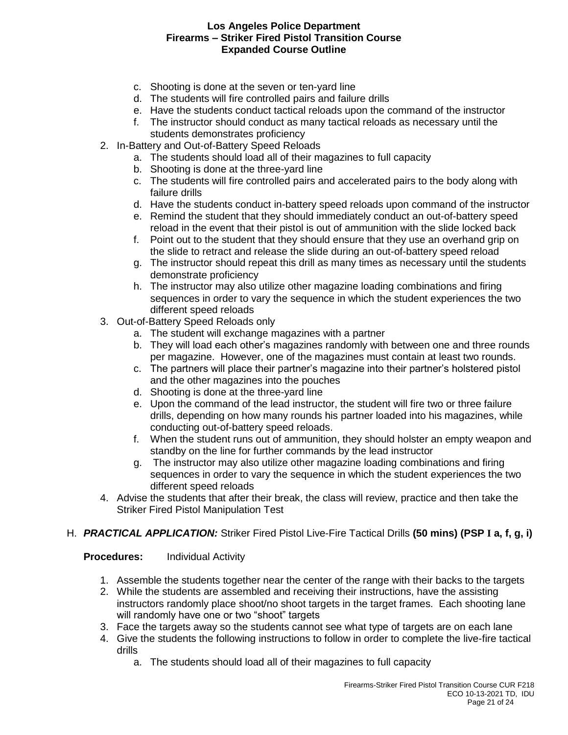- c. Shooting is done at the seven or ten-yard line
- d. The students will fire controlled pairs and failure drills
- e. Have the students conduct tactical reloads upon the command of the instructor
- f. The instructor should conduct as many tactical reloads as necessary until the students demonstrates proficiency
- 2. In-Battery and Out-of-Battery Speed Reloads
	- a. The students should load all of their magazines to full capacity
	- b. Shooting is done at the three-yard line
	- c. The students will fire controlled pairs and accelerated pairs to the body along with failure drills
	- d. Have the students conduct in-battery speed reloads upon command of the instructor
	- e. Remind the student that they should immediately conduct an out-of-battery speed reload in the event that their pistol is out of ammunition with the slide locked back
	- f. Point out to the student that they should ensure that they use an overhand grip on the slide to retract and release the slide during an out-of-battery speed reload
	- g. The instructor should repeat this drill as many times as necessary until the students demonstrate proficiency
	- h. The instructor may also utilize other magazine loading combinations and firing sequences in order to vary the sequence in which the student experiences the two different speed reloads
- 3. Out-of-Battery Speed Reloads only
	- a. The student will exchange magazines with a partner
	- b. They will load each other's magazines randomly with between one and three rounds per magazine. However, one of the magazines must contain at least two rounds.
	- c. The partners will place their partner's magazine into their partner's holstered pistol and the other magazines into the pouches
	- d. Shooting is done at the three-yard line
	- e. Upon the command of the lead instructor, the student will fire two or three failure drills, depending on how many rounds his partner loaded into his magazines, while conducting out-of-battery speed reloads.
	- f. When the student runs out of ammunition, they should holster an empty weapon and standby on the line for further commands by the lead instructor
	- g. The instructor may also utilize other magazine loading combinations and firing sequences in order to vary the sequence in which the student experiences the two different speed reloads
- 4. Advise the students that after their break, the class will review, practice and then take the Striker Fired Pistol Manipulation Test
- H. *PRACTICAL APPLICATION:* Striker Fired Pistol Live-Fire Tactical Drills **(50 mins) (PSP I a, f, g, i)**

#### **Procedures:** Individual Activity

- 1. Assemble the students together near the center of the range with their backs to the targets
- 2. While the students are assembled and receiving their instructions, have the assisting instructors randomly place shoot/no shoot targets in the target frames. Each shooting lane will randomly have one or two "shoot" targets
- 3. Face the targets away so the students cannot see what type of targets are on each lane
- 4. Give the students the following instructions to follow in order to complete the live-fire tactical drills
	- a. The students should load all of their magazines to full capacity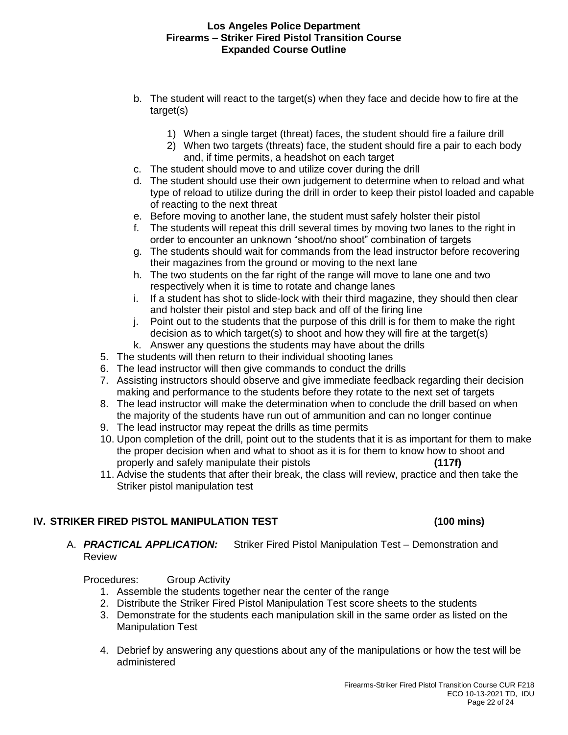- b. The student will react to the target(s) when they face and decide how to fire at the target(s)
	- 1) When a single target (threat) faces, the student should fire a failure drill
	- 2) When two targets (threats) face, the student should fire a pair to each body and, if time permits, a headshot on each target
- c. The student should move to and utilize cover during the drill
- d. The student should use their own judgement to determine when to reload and what type of reload to utilize during the drill in order to keep their pistol loaded and capable of reacting to the next threat
- e. Before moving to another lane, the student must safely holster their pistol
- f. The students will repeat this drill several times by moving two lanes to the right in order to encounter an unknown "shoot/no shoot" combination of targets
- g. The students should wait for commands from the lead instructor before recovering their magazines from the ground or moving to the next lane
- h. The two students on the far right of the range will move to lane one and two respectively when it is time to rotate and change lanes
- i. If a student has shot to slide-lock with their third magazine, they should then clear and holster their pistol and step back and off of the firing line
- j. Point out to the students that the purpose of this drill is for them to make the right decision as to which target(s) to shoot and how they will fire at the target(s)
- k. Answer any questions the students may have about the drills
- 5. The students will then return to their individual shooting lanes
- 6. The lead instructor will then give commands to conduct the drills
- 7. Assisting instructors should observe and give immediate feedback regarding their decision making and performance to the students before they rotate to the next set of targets
- 8. The lead instructor will make the determination when to conclude the drill based on when the majority of the students have run out of ammunition and can no longer continue
- 9. The lead instructor may repeat the drills as time permits
- 10. Upon completion of the drill, point out to the students that it is as important for them to make the proper decision when and what to shoot as it is for them to know how to shoot and properly and safely manipulate their pistols **(117f)**
- 11. Advise the students that after their break, the class will review, practice and then take the Striker pistol manipulation test

# **IV. STRIKER FIRED PISTOL MANIPULATION TEST (100 mins)**

# A. *PRACTICAL APPLICATION:* Striker Fired Pistol Manipulation Test – Demonstration and Review

Procedures: Group Activity

- 1. Assemble the students together near the center of the range
- 2. Distribute the Striker Fired Pistol Manipulation Test score sheets to the students
- 3. Demonstrate for the students each manipulation skill in the same order as listed on the Manipulation Test
- 4. Debrief by answering any questions about any of the manipulations or how the test will be administered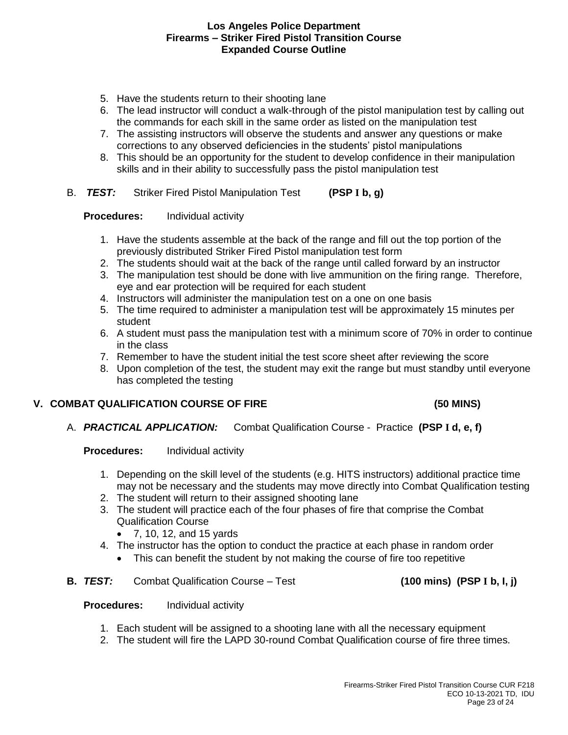- 5. Have the students return to their shooting lane
- 6. The lead instructor will conduct a walk-through of the pistol manipulation test by calling out the commands for each skill in the same order as listed on the manipulation test
- 7. The assisting instructors will observe the students and answer any questions or make corrections to any observed deficiencies in the students' pistol manipulations
- 8. This should be an opportunity for the student to develop confidence in their manipulation skills and in their ability to successfully pass the pistol manipulation test
- B. *TEST:* Striker Fired Pistol Manipulation Test **(PSP I b, g)**

### **Procedures:** Individual activity

- 1. Have the students assemble at the back of the range and fill out the top portion of the previously distributed Striker Fired Pistol manipulation test form
- 2. The students should wait at the back of the range until called forward by an instructor
- 3. The manipulation test should be done with live ammunition on the firing range. Therefore, eye and ear protection will be required for each student
- 4. Instructors will administer the manipulation test on a one on one basis
- 5. The time required to administer a manipulation test will be approximately 15 minutes per student
- 6. A student must pass the manipulation test with a minimum score of 70% in order to continue in the class
- 7. Remember to have the student initial the test score sheet after reviewing the score
- 8. Upon completion of the test, the student may exit the range but must standby until everyone has completed the testing

# **V. COMBAT QUALIFICATION COURSE OF FIRE (50 MINS)**

A. *PRACTICAL APPLICATION:* Combat Qualification Course - Practice **(PSP I d, e, f)**

# **Procedures:** Individual activity

- 1. Depending on the skill level of the students (e.g. HITS instructors) additional practice time may not be necessary and the students may move directly into Combat Qualification testing
- 2. The student will return to their assigned shooting lane
- 3. The student will practice each of the four phases of fire that comprise the Combat Qualification Course
	- 7, 10, 12, and 15 yards
- 4. The instructor has the option to conduct the practice at each phase in random order
	- This can benefit the student by not making the course of fire too repetitive
- **B.** *TEST:* Combat Qualification Course Test **(100 mins) (PSP I b, I, j)**

#### **Procedures:** Individual activity

- 1. Each student will be assigned to a shooting lane with all the necessary equipment
- 2. The student will fire the LAPD 30-round Combat Qualification course of fire three times.